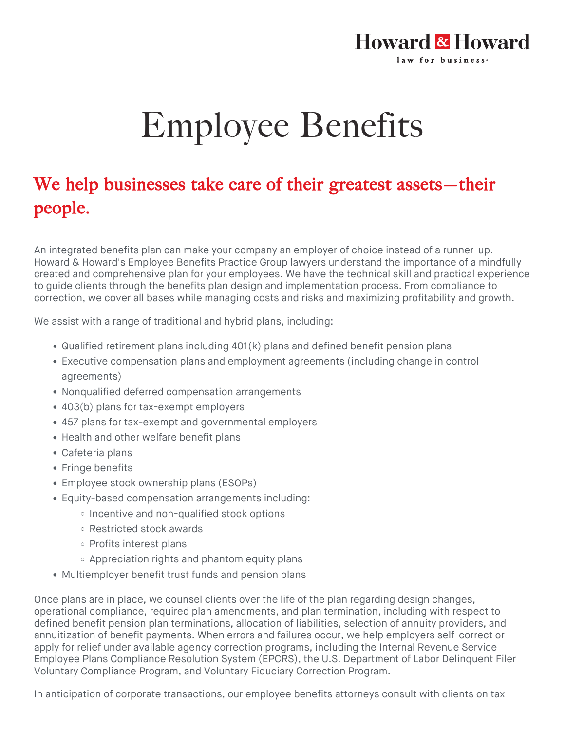## Howard & Howard law for business.

## Employee Benefits

## We help businesses take care of their greatest assets—their people.

An integrated benefits plan can make your company an employer of choice instead of a runner-up. Howard & Howard's Employee Benefits Practice Group lawyers understand the importance of a mindfully created and comprehensive plan for your employees. We have the technical skill and practical experience to guide clients through the benefits plan design and implementation process. From compliance to correction, we cover all bases while managing costs and risks and maximizing profitability and growth.

We assist with a range of traditional and hybrid plans, including:

- Qualified retirement plans including 401(k) plans and defined benefit pension plans
- Executive compensation plans and employment agreements (including change in control agreements)
- Nonqualified deferred compensation arrangements
- 403(b) plans for tax-exempt employers
- 457 plans for tax-exempt and governmental employers
- Health and other welfare benefit plans
- Cafeteria plans
- Fringe benefits
- Employee stock ownership plans (ESOPs)
- Equity-based compensation arrangements including:
	- Incentive and non-qualified stock options
	- Restricted stock awards
	- Profits interest plans
	- $\circ$  Appreciation rights and phantom equity plans
- Multiemployer benefit trust funds and pension plans

Once plans are in place, we counsel clients over the life of the plan regarding design changes, operational compliance, required plan amendments, and plan termination, including with respect to defined benefit pension plan terminations, allocation of liabilities, selection of annuity providers, and annuitization of benefit payments. When errors and failures occur, we help employers self-correct or apply for relief under available agency correction programs, including the Internal Revenue Service Employee Plans Compliance Resolution System (EPCRS), the U.S. Department of Labor Delinquent Filer Voluntary Compliance Program, and Voluntary Fiduciary Correction Program.

In anticipation of corporate transactions, our employee benefits attorneys consult with clients on tax